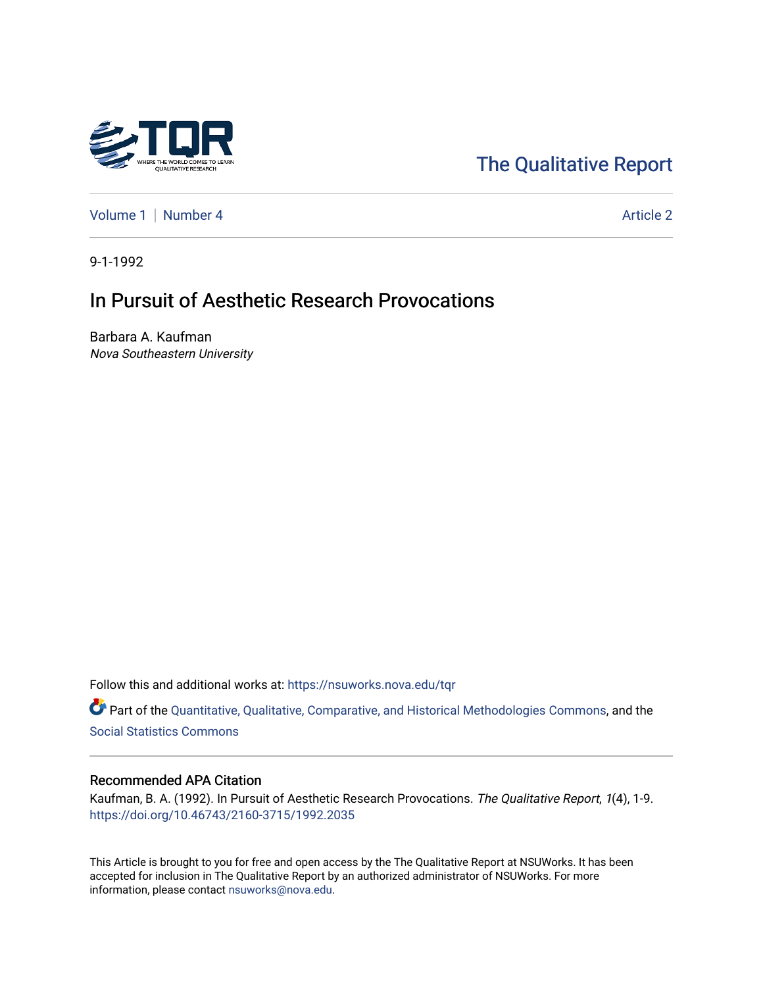

# [The Qualitative Report](https://nsuworks.nova.edu/tqr)

[Volume 1](https://nsuworks.nova.edu/tqr/vol1) | [Number 4](https://nsuworks.nova.edu/tqr/vol1/iss4) Article 2

9-1-1992

## In Pursuit of Aesthetic Research Provocations

Barbara A. Kaufman Nova Southeastern University

Follow this and additional works at: [https://nsuworks.nova.edu/tqr](https://nsuworks.nova.edu/tqr?utm_source=nsuworks.nova.edu%2Ftqr%2Fvol1%2Fiss4%2F2&utm_medium=PDF&utm_campaign=PDFCoverPages) 

Part of the [Quantitative, Qualitative, Comparative, and Historical Methodologies Commons,](http://network.bepress.com/hgg/discipline/423?utm_source=nsuworks.nova.edu%2Ftqr%2Fvol1%2Fiss4%2F2&utm_medium=PDF&utm_campaign=PDFCoverPages) and the [Social Statistics Commons](http://network.bepress.com/hgg/discipline/1275?utm_source=nsuworks.nova.edu%2Ftqr%2Fvol1%2Fiss4%2F2&utm_medium=PDF&utm_campaign=PDFCoverPages) 

#### Recommended APA Citation

Kaufman, B. A. (1992). In Pursuit of Aesthetic Research Provocations. The Qualitative Report, 1(4), 1-9. <https://doi.org/10.46743/2160-3715/1992.2035>

This Article is brought to you for free and open access by the The Qualitative Report at NSUWorks. It has been accepted for inclusion in The Qualitative Report by an authorized administrator of NSUWorks. For more information, please contact [nsuworks@nova.edu.](mailto:nsuworks@nova.edu)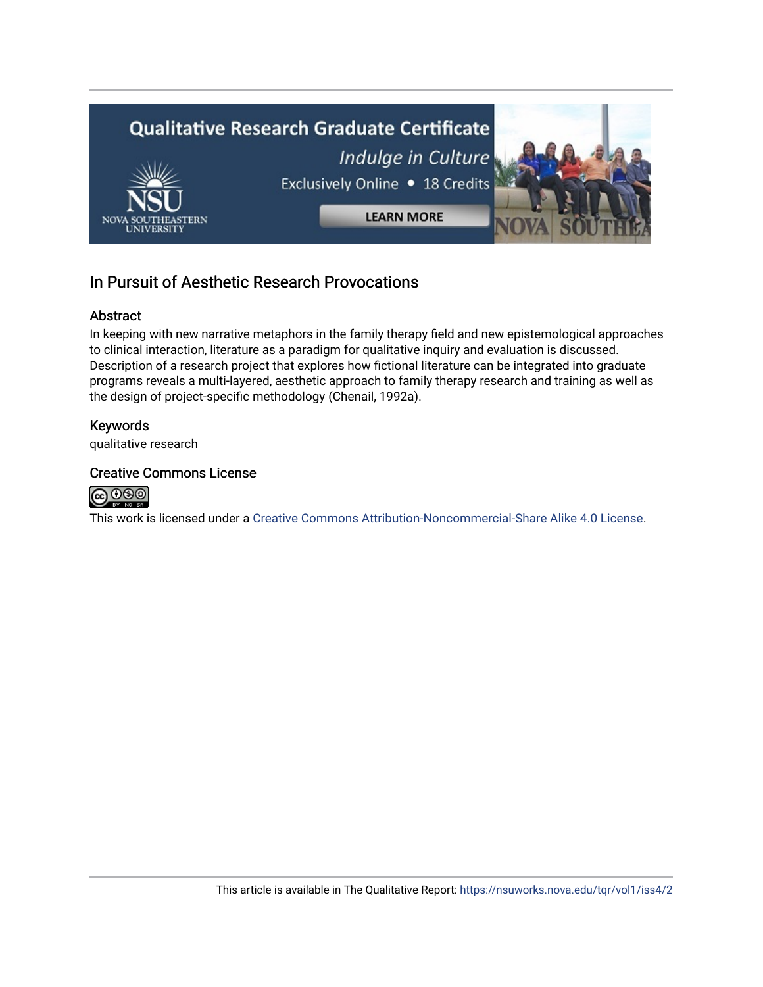

## In Pursuit of Aesthetic Research Provocations

#### Abstract

In keeping with new narrative metaphors in the family therapy field and new epistemological approaches to clinical interaction, literature as a paradigm for qualitative inquiry and evaluation is discussed. Description of a research project that explores how fictional literature can be integrated into graduate programs reveals a multi-layered, aesthetic approach to family therapy research and training as well as the design of project-specific methodology (Chenail, 1992a).

## Keywords

qualitative research

#### Creative Commons License



This work is licensed under a [Creative Commons Attribution-Noncommercial-Share Alike 4.0 License](https://creativecommons.org/licenses/by-nc-sa/4.0/).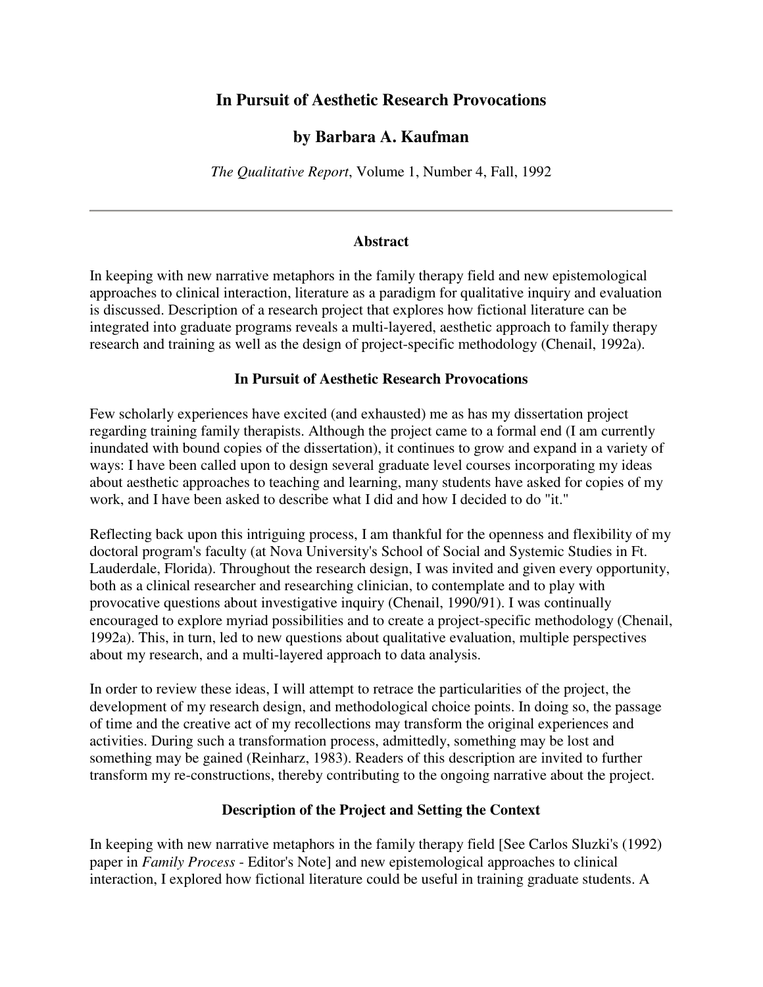## **In Pursuit of Aesthetic Research Provocations**

## **by Barbara A. Kaufman**

*The Qualitative Report*, Volume 1, Number 4, Fall, 1992

#### **Abstract**

In keeping with new narrative metaphors in the family therapy field and new epistemological approaches to clinical interaction, literature as a paradigm for qualitative inquiry and evaluation is discussed. Description of a research project that explores how fictional literature can be integrated into graduate programs reveals a multi-layered, aesthetic approach to family therapy research and training as well as the design of project-specific methodology (Chenail, 1992a).

#### **In Pursuit of Aesthetic Research Provocations**

Few scholarly experiences have excited (and exhausted) me as has my dissertation project regarding training family therapists. Although the project came to a formal end (I am currently inundated with bound copies of the dissertation), it continues to grow and expand in a variety of ways: I have been called upon to design several graduate level courses incorporating my ideas about aesthetic approaches to teaching and learning, many students have asked for copies of my work, and I have been asked to describe what I did and how I decided to do "it."

Reflecting back upon this intriguing process, I am thankful for the openness and flexibility of my doctoral program's faculty (at Nova University's School of Social and Systemic Studies in Ft. Lauderdale, Florida). Throughout the research design, I was invited and given every opportunity, both as a clinical researcher and researching clinician, to contemplate and to play with provocative questions about investigative inquiry (Chenail, 1990/91). I was continually encouraged to explore myriad possibilities and to create a project-specific methodology (Chenail, 1992a). This, in turn, led to new questions about qualitative evaluation, multiple perspectives about my research, and a multi-layered approach to data analysis.

In order to review these ideas, I will attempt to retrace the particularities of the project, the development of my research design, and methodological choice points. In doing so, the passage of time and the creative act of my recollections may transform the original experiences and activities. During such a transformation process, admittedly, something may be lost and something may be gained (Reinharz, 1983). Readers of this description are invited to further transform my re-constructions, thereby contributing to the ongoing narrative about the project.

#### **Description of the Project and Setting the Context**

In keeping with new narrative metaphors in the family therapy field [See Carlos Sluzki's (1992) paper in *Family Process* - Editor's Note] and new epistemological approaches to clinical interaction, I explored how fictional literature could be useful in training graduate students. A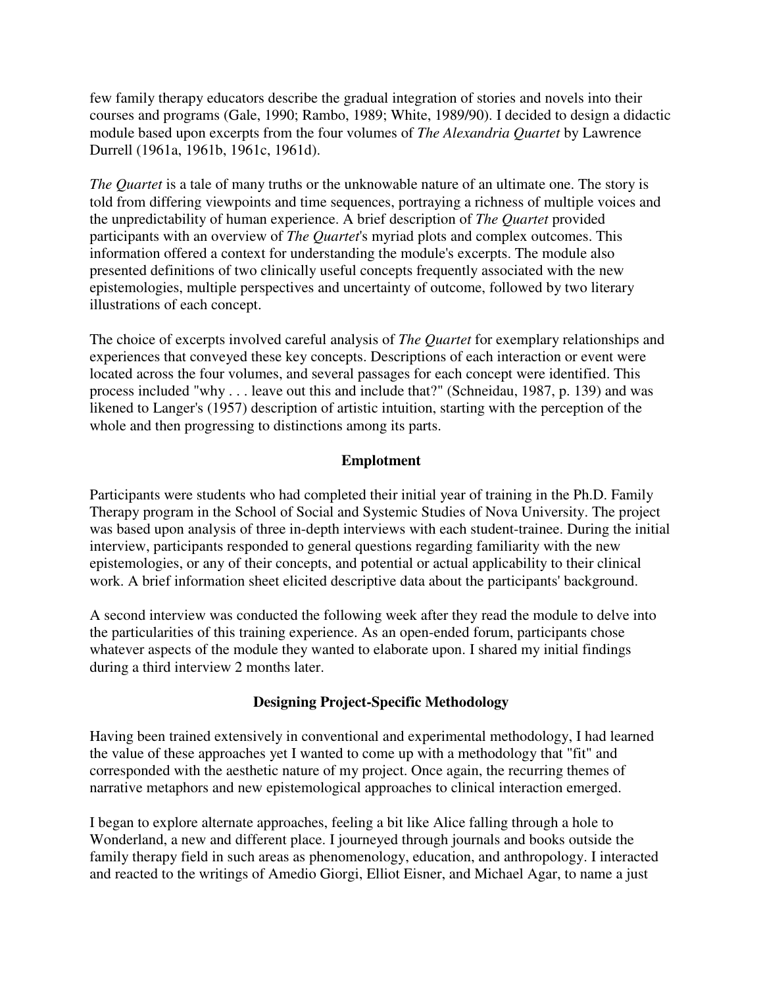few family therapy educators describe the gradual integration of stories and novels into their courses and programs (Gale, 1990; Rambo, 1989; White, 1989/90). I decided to design a didactic module based upon excerpts from the four volumes of *The Alexandria Quartet* by Lawrence Durrell (1961a, 1961b, 1961c, 1961d).

*The Quartet* is a tale of many truths or the unknowable nature of an ultimate one. The story is told from differing viewpoints and time sequences, portraying a richness of multiple voices and the unpredictability of human experience. A brief description of *The Quartet* provided participants with an overview of *The Quartet*'s myriad plots and complex outcomes. This information offered a context for understanding the module's excerpts. The module also presented definitions of two clinically useful concepts frequently associated with the new epistemologies, multiple perspectives and uncertainty of outcome, followed by two literary illustrations of each concept.

The choice of excerpts involved careful analysis of *The Quartet* for exemplary relationships and experiences that conveyed these key concepts. Descriptions of each interaction or event were located across the four volumes, and several passages for each concept were identified. This process included "why . . . leave out this and include that?" (Schneidau, 1987, p. 139) and was likened to Langer's (1957) description of artistic intuition, starting with the perception of the whole and then progressing to distinctions among its parts.

## **Emplotment**

Participants were students who had completed their initial year of training in the Ph.D. Family Therapy program in the School of Social and Systemic Studies of Nova University. The project was based upon analysis of three in-depth interviews with each student-trainee. During the initial interview, participants responded to general questions regarding familiarity with the new epistemologies, or any of their concepts, and potential or actual applicability to their clinical work. A brief information sheet elicited descriptive data about the participants' background.

A second interview was conducted the following week after they read the module to delve into the particularities of this training experience. As an open-ended forum, participants chose whatever aspects of the module they wanted to elaborate upon. I shared my initial findings during a third interview 2 months later.

#### **Designing Project-Specific Methodology**

Having been trained extensively in conventional and experimental methodology, I had learned the value of these approaches yet I wanted to come up with a methodology that "fit" and corresponded with the aesthetic nature of my project. Once again, the recurring themes of narrative metaphors and new epistemological approaches to clinical interaction emerged.

I began to explore alternate approaches, feeling a bit like Alice falling through a hole to Wonderland, a new and different place. I journeyed through journals and books outside the family therapy field in such areas as phenomenology, education, and anthropology. I interacted and reacted to the writings of Amedio Giorgi, Elliot Eisner, and Michael Agar, to name a just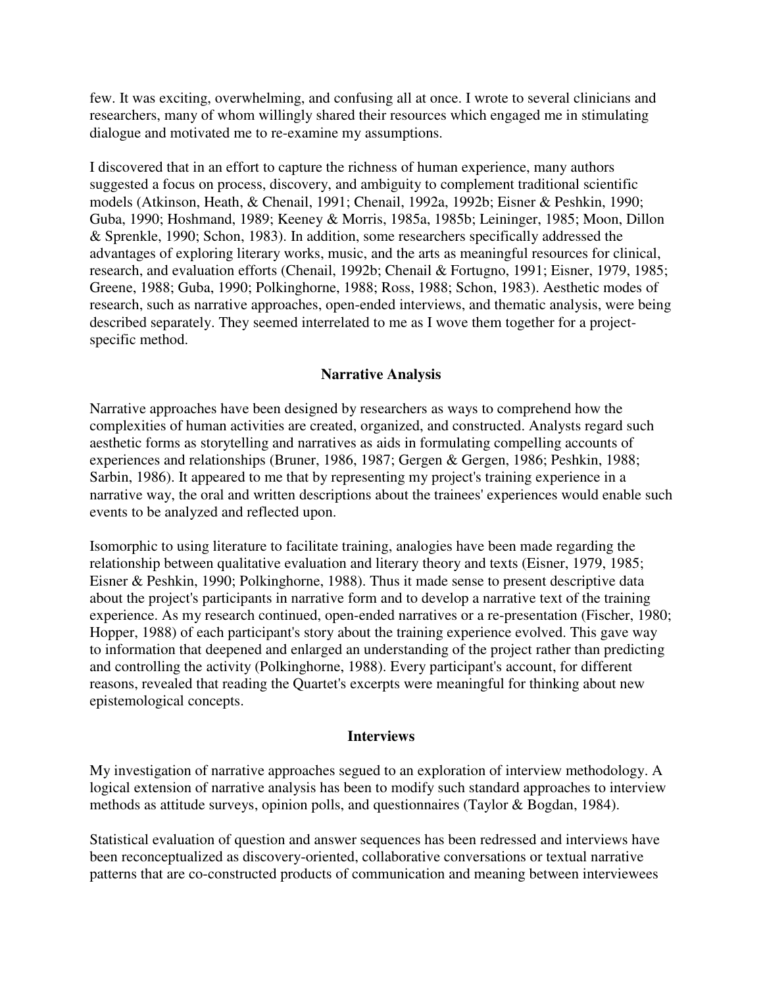few. It was exciting, overwhelming, and confusing all at once. I wrote to several clinicians and researchers, many of whom willingly shared their resources which engaged me in stimulating dialogue and motivated me to re-examine my assumptions.

I discovered that in an effort to capture the richness of human experience, many authors suggested a focus on process, discovery, and ambiguity to complement traditional scientific models (Atkinson, Heath, & Chenail, 1991; Chenail, 1992a, 1992b; Eisner & Peshkin, 1990; Guba, 1990; Hoshmand, 1989; Keeney & Morris, 1985a, 1985b; Leininger, 1985; Moon, Dillon & Sprenkle, 1990; Schon, 1983). In addition, some researchers specifically addressed the advantages of exploring literary works, music, and the arts as meaningful resources for clinical, research, and evaluation efforts (Chenail, 1992b; Chenail & Fortugno, 1991; Eisner, 1979, 1985; Greene, 1988; Guba, 1990; Polkinghorne, 1988; Ross, 1988; Schon, 1983). Aesthetic modes of research, such as narrative approaches, open-ended interviews, and thematic analysis, were being described separately. They seemed interrelated to me as I wove them together for a projectspecific method.

#### **Narrative Analysis**

Narrative approaches have been designed by researchers as ways to comprehend how the complexities of human activities are created, organized, and constructed. Analysts regard such aesthetic forms as storytelling and narratives as aids in formulating compelling accounts of experiences and relationships (Bruner, 1986, 1987; Gergen & Gergen, 1986; Peshkin, 1988; Sarbin, 1986). It appeared to me that by representing my project's training experience in a narrative way, the oral and written descriptions about the trainees' experiences would enable such events to be analyzed and reflected upon.

Isomorphic to using literature to facilitate training, analogies have been made regarding the relationship between qualitative evaluation and literary theory and texts (Eisner, 1979, 1985; Eisner & Peshkin, 1990; Polkinghorne, 1988). Thus it made sense to present descriptive data about the project's participants in narrative form and to develop a narrative text of the training experience. As my research continued, open-ended narratives or a re-presentation (Fischer, 1980; Hopper, 1988) of each participant's story about the training experience evolved. This gave way to information that deepened and enlarged an understanding of the project rather than predicting and controlling the activity (Polkinghorne, 1988). Every participant's account, for different reasons, revealed that reading the Quartet's excerpts were meaningful for thinking about new epistemological concepts.

#### **Interviews**

My investigation of narrative approaches segued to an exploration of interview methodology. A logical extension of narrative analysis has been to modify such standard approaches to interview methods as attitude surveys, opinion polls, and questionnaires (Taylor & Bogdan, 1984).

Statistical evaluation of question and answer sequences has been redressed and interviews have been reconceptualized as discovery-oriented, collaborative conversations or textual narrative patterns that are co-constructed products of communication and meaning between interviewees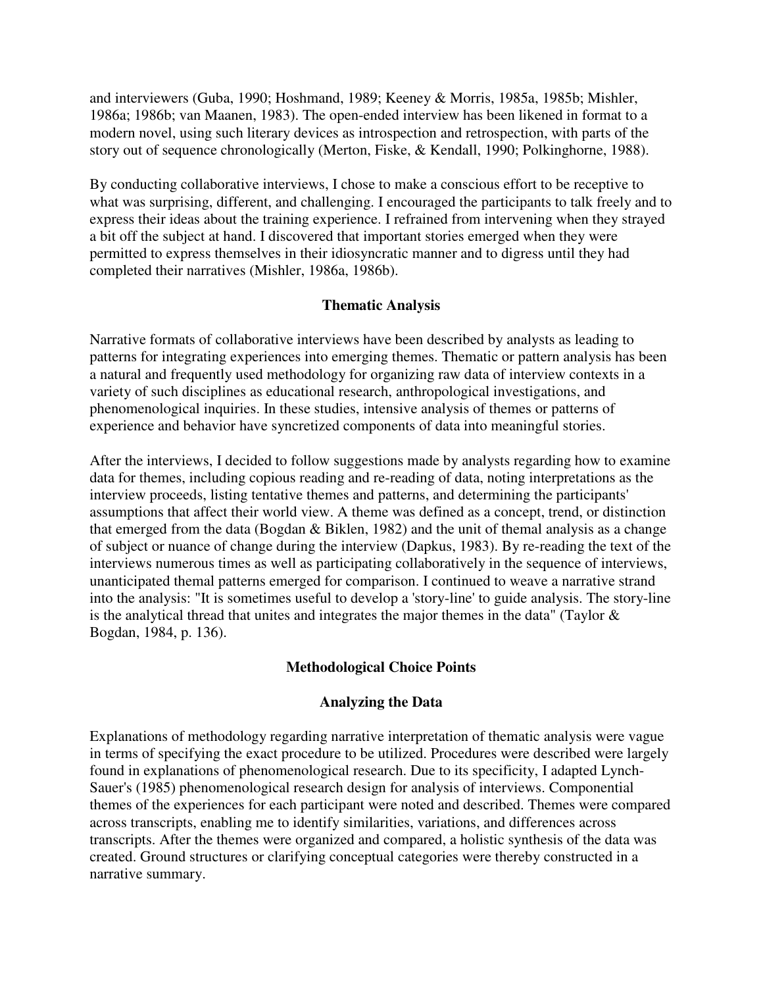and interviewers (Guba, 1990; Hoshmand, 1989; Keeney & Morris, 1985a, 1985b; Mishler, 1986a; 1986b; van Maanen, 1983). The open-ended interview has been likened in format to a modern novel, using such literary devices as introspection and retrospection, with parts of the story out of sequence chronologically (Merton, Fiske, & Kendall, 1990; Polkinghorne, 1988).

By conducting collaborative interviews, I chose to make a conscious effort to be receptive to what was surprising, different, and challenging. I encouraged the participants to talk freely and to express their ideas about the training experience. I refrained from intervening when they strayed a bit off the subject at hand. I discovered that important stories emerged when they were permitted to express themselves in their idiosyncratic manner and to digress until they had completed their narratives (Mishler, 1986a, 1986b).

#### **Thematic Analysis**

Narrative formats of collaborative interviews have been described by analysts as leading to patterns for integrating experiences into emerging themes. Thematic or pattern analysis has been a natural and frequently used methodology for organizing raw data of interview contexts in a variety of such disciplines as educational research, anthropological investigations, and phenomenological inquiries. In these studies, intensive analysis of themes or patterns of experience and behavior have syncretized components of data into meaningful stories.

After the interviews, I decided to follow suggestions made by analysts regarding how to examine data for themes, including copious reading and re-reading of data, noting interpretations as the interview proceeds, listing tentative themes and patterns, and determining the participants' assumptions that affect their world view. A theme was defined as a concept, trend, or distinction that emerged from the data (Bogdan & Biklen, 1982) and the unit of themal analysis as a change of subject or nuance of change during the interview (Dapkus, 1983). By re-reading the text of the interviews numerous times as well as participating collaboratively in the sequence of interviews, unanticipated themal patterns emerged for comparison. I continued to weave a narrative strand into the analysis: "It is sometimes useful to develop a 'story-line' to guide analysis. The story-line is the analytical thread that unites and integrates the major themes in the data" (Taylor & Bogdan, 1984, p. 136).

## **Methodological Choice Points**

## **Analyzing the Data**

Explanations of methodology regarding narrative interpretation of thematic analysis were vague in terms of specifying the exact procedure to be utilized. Procedures were described were largely found in explanations of phenomenological research. Due to its specificity, I adapted Lynch-Sauer's (1985) phenomenological research design for analysis of interviews. Componential themes of the experiences for each participant were noted and described. Themes were compared across transcripts, enabling me to identify similarities, variations, and differences across transcripts. After the themes were organized and compared, a holistic synthesis of the data was created. Ground structures or clarifying conceptual categories were thereby constructed in a narrative summary.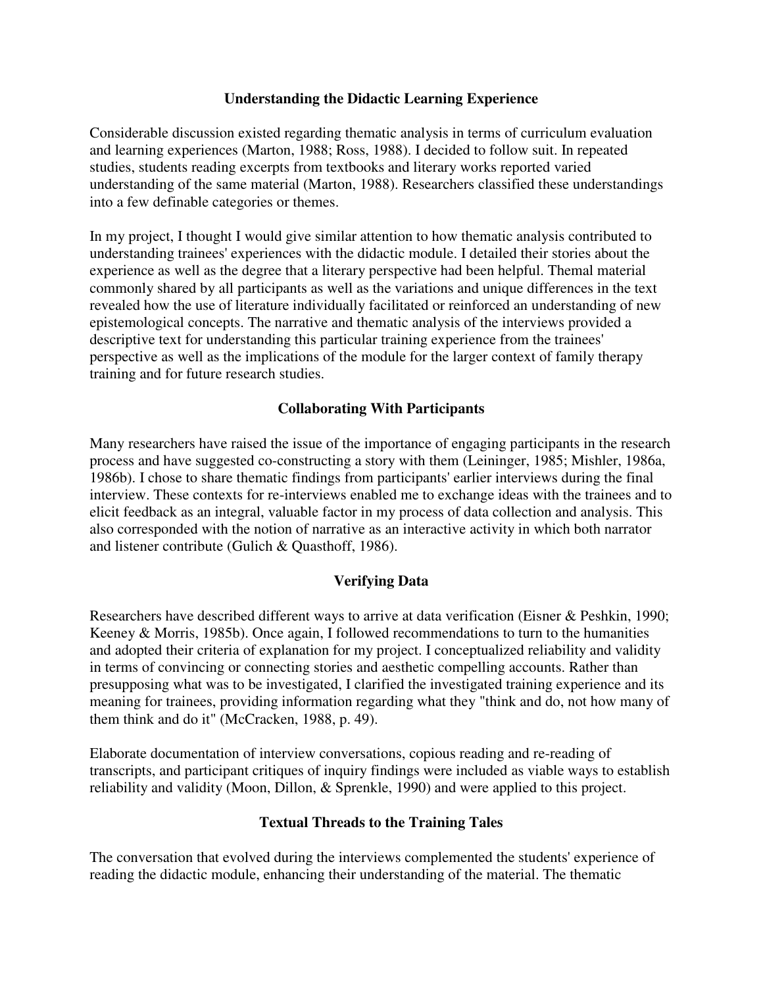#### **Understanding the Didactic Learning Experience**

Considerable discussion existed regarding thematic analysis in terms of curriculum evaluation and learning experiences (Marton, 1988; Ross, 1988). I decided to follow suit. In repeated studies, students reading excerpts from textbooks and literary works reported varied understanding of the same material (Marton, 1988). Researchers classified these understandings into a few definable categories or themes.

In my project, I thought I would give similar attention to how thematic analysis contributed to understanding trainees' experiences with the didactic module. I detailed their stories about the experience as well as the degree that a literary perspective had been helpful. Themal material commonly shared by all participants as well as the variations and unique differences in the text revealed how the use of literature individually facilitated or reinforced an understanding of new epistemological concepts. The narrative and thematic analysis of the interviews provided a descriptive text for understanding this particular training experience from the trainees' perspective as well as the implications of the module for the larger context of family therapy training and for future research studies.

## **Collaborating With Participants**

Many researchers have raised the issue of the importance of engaging participants in the research process and have suggested co-constructing a story with them (Leininger, 1985; Mishler, 1986a, 1986b). I chose to share thematic findings from participants' earlier interviews during the final interview. These contexts for re-interviews enabled me to exchange ideas with the trainees and to elicit feedback as an integral, valuable factor in my process of data collection and analysis. This also corresponded with the notion of narrative as an interactive activity in which both narrator and listener contribute (Gulich & Quasthoff, 1986).

## **Verifying Data**

Researchers have described different ways to arrive at data verification (Eisner & Peshkin, 1990; Keeney & Morris, 1985b). Once again, I followed recommendations to turn to the humanities and adopted their criteria of explanation for my project. I conceptualized reliability and validity in terms of convincing or connecting stories and aesthetic compelling accounts. Rather than presupposing what was to be investigated, I clarified the investigated training experience and its meaning for trainees, providing information regarding what they "think and do, not how many of them think and do it" (McCracken, 1988, p. 49).

Elaborate documentation of interview conversations, copious reading and re-reading of transcripts, and participant critiques of inquiry findings were included as viable ways to establish reliability and validity (Moon, Dillon, & Sprenkle, 1990) and were applied to this project.

## **Textual Threads to the Training Tales**

The conversation that evolved during the interviews complemented the students' experience of reading the didactic module, enhancing their understanding of the material. The thematic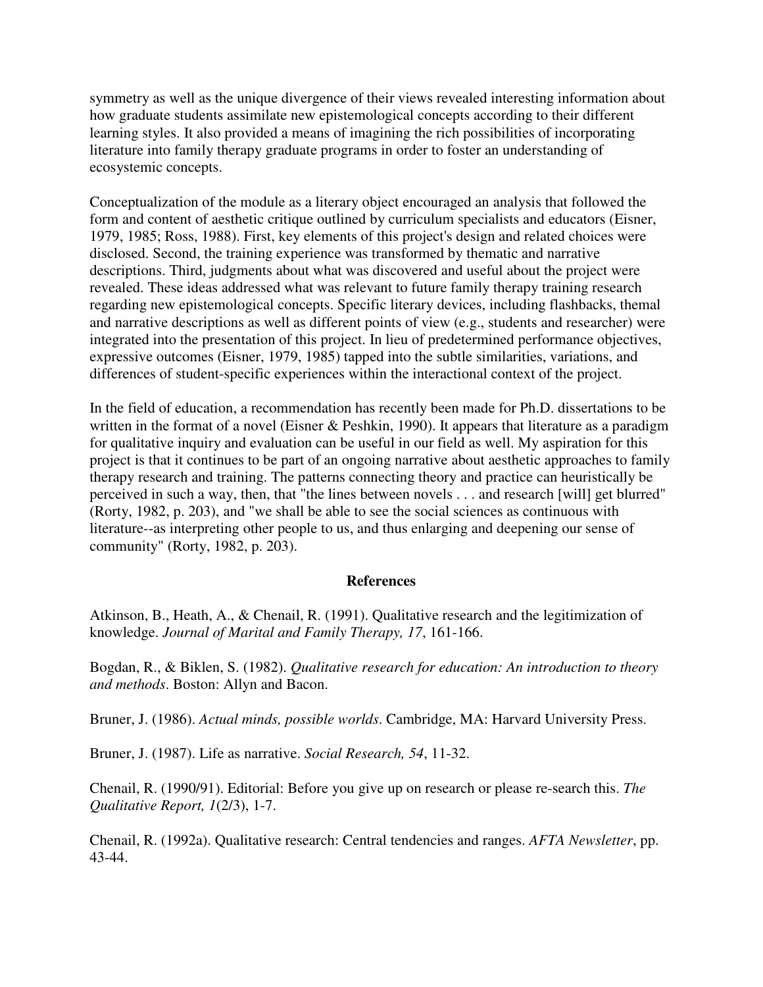symmetry as well as the unique divergence of their views revealed interesting information about how graduate students assimilate new epistemological concepts according to their different learning styles. It also provided a means of imagining the rich possibilities of incorporating literature into family therapy graduate programs in order to foster an understanding of ecosystemic concepts.

Conceptualization of the module as a literary object encouraged an analysis that followed the form and content of aesthetic critique outlined by curriculum specialists and educators (Eisner, 1979, 1985; Ross, 1988). First, key elements of this project's design and related choices were disclosed. Second, the training experience was transformed by thematic and narrative descriptions. Third, judgments about what was discovered and useful about the project were revealed. These ideas addressed what was relevant to future family therapy training research regarding new epistemological concepts. Specific literary devices, including flashbacks, themal and narrative descriptions as well as different points of view (e.g., students and researcher) were integrated into the presentation of this project. In lieu of predetermined performance objectives, expressive outcomes (Eisner, 1979, 1985) tapped into the subtle similarities, variations, and differences of student-specific experiences within the interactional context of the project.

In the field of education, a recommendation has recently been made for Ph.D. dissertations to be written in the format of a novel (Eisner & Peshkin, 1990). It appears that literature as a paradigm for qualitative inquiry and evaluation can be useful in our field as well. My aspiration for this project is that it continues to be part of an ongoing narrative about aesthetic approaches to family therapy research and training. The patterns connecting theory and practice can heuristically be perceived in such a way, then, that "the lines between novels . . . and research [will] get blurred" (Rorty, 1982, p. 203), and "we shall be able to see the social sciences as continuous with literature--as interpreting other people to us, and thus enlarging and deepening our sense of community" (Rorty, 1982, p. 203).

#### **References**

Atkinson, B., Heath, A., & Chenail, R. (1991). Qualitative research and the legitimization of knowledge. *Journal of Marital and Family Therapy, 17*, 161-166.

Bogdan, R., & Biklen, S. (1982). *Qualitative research for education: An introduction to theory and methods*. Boston: Allyn and Bacon.

Bruner, J. (1986). *Actual minds, possible worlds*. Cambridge, MA: Harvard University Press.

Bruner, J. (1987). Life as narrative. *Social Research, 54*, 11-32.

Chenail, R. (1990/91). Editorial: Before you give up on research or please re-search this. *The Qualitative Report, 1*(2/3), 1-7.

Chenail, R. (1992a). Qualitative research: Central tendencies and ranges. *AFTA Newsletter*, pp. 43-44.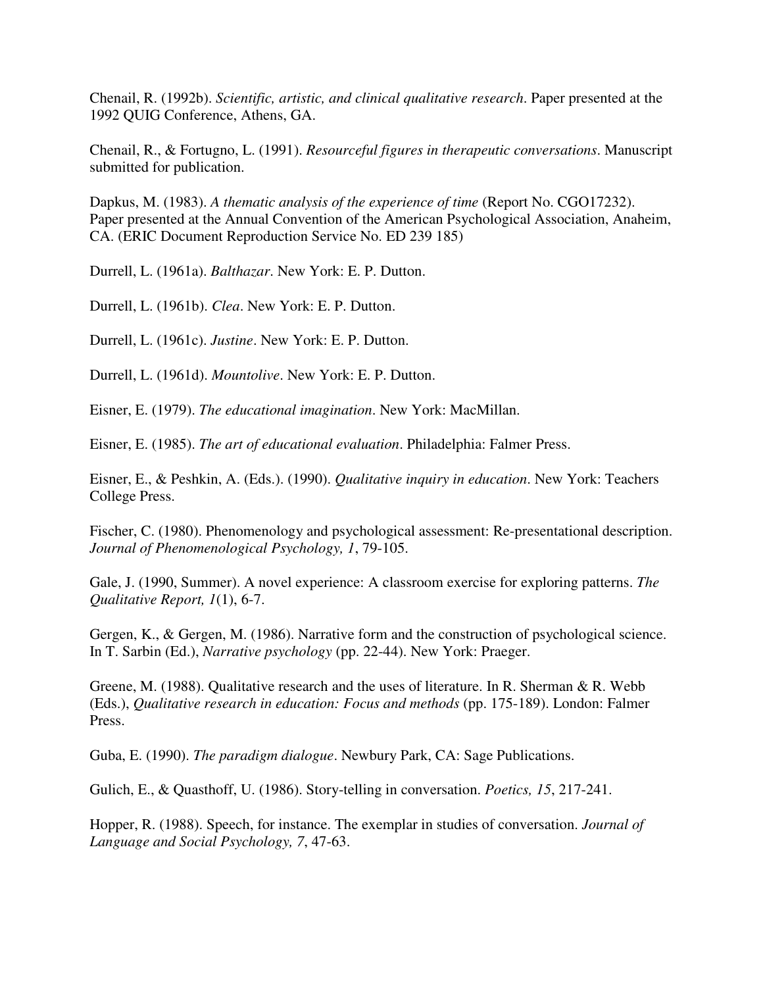Chenail, R. (1992b). *Scientific, artistic, and clinical qualitative research*. Paper presented at the 1992 QUIG Conference, Athens, GA.

Chenail, R., & Fortugno, L. (1991). *Resourceful figures in therapeutic conversations*. Manuscript submitted for publication.

Dapkus, M. (1983). *A thematic analysis of the experience of time* (Report No. CGO17232). Paper presented at the Annual Convention of the American Psychological Association, Anaheim, CA. (ERIC Document Reproduction Service No. ED 239 185)

Durrell, L. (1961a). *Balthazar*. New York: E. P. Dutton.

Durrell, L. (1961b). *Clea*. New York: E. P. Dutton.

Durrell, L. (1961c). *Justine*. New York: E. P. Dutton.

Durrell, L. (1961d). *Mountolive*. New York: E. P. Dutton.

Eisner, E. (1979). *The educational imagination*. New York: MacMillan.

Eisner, E. (1985). *The art of educational evaluation*. Philadelphia: Falmer Press.

Eisner, E., & Peshkin, A. (Eds.). (1990). *Qualitative inquiry in education*. New York: Teachers College Press.

Fischer, C. (1980). Phenomenology and psychological assessment: Re-presentational description. *Journal of Phenomenological Psychology, 1*, 79-105.

Gale, J. (1990, Summer). A novel experience: A classroom exercise for exploring patterns. *The Qualitative Report, 1*(1), 6-7.

Gergen, K., & Gergen, M. (1986). Narrative form and the construction of psychological science. In T. Sarbin (Ed.), *Narrative psychology* (pp. 22-44). New York: Praeger.

Greene, M. (1988). Qualitative research and the uses of literature. In R. Sherman & R. Webb (Eds.), *Qualitative research in education: Focus and methods* (pp. 175-189). London: Falmer Press.

Guba, E. (1990). *The paradigm dialogue*. Newbury Park, CA: Sage Publications.

Gulich, E., & Quasthoff, U. (1986). Story-telling in conversation. *Poetics, 15*, 217-241.

Hopper, R. (1988). Speech, for instance. The exemplar in studies of conversation. *Journal of Language and Social Psychology, 7*, 47-63.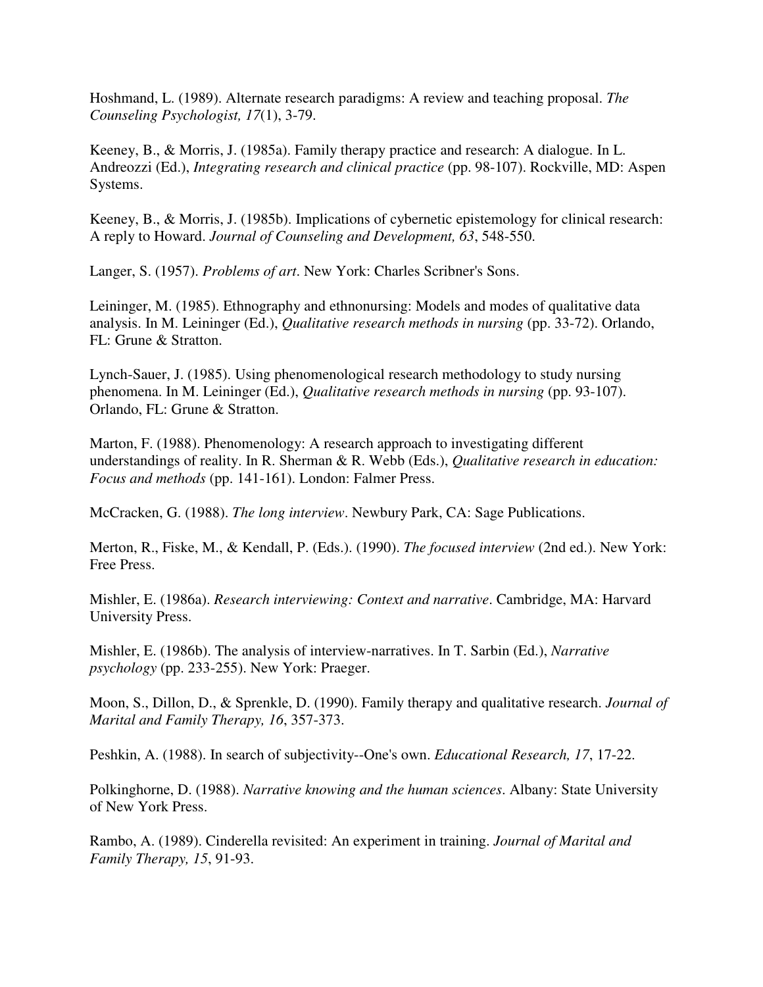Hoshmand, L. (1989). Alternate research paradigms: A review and teaching proposal. *The Counseling Psychologist, 17*(1), 3-79.

Keeney, B., & Morris, J. (1985a). Family therapy practice and research: A dialogue. In L. Andreozzi (Ed.), *Integrating research and clinical practice* (pp. 98-107). Rockville, MD: Aspen Systems.

Keeney, B., & Morris, J. (1985b). Implications of cybernetic epistemology for clinical research: A reply to Howard. *Journal of Counseling and Development, 63*, 548-550.

Langer, S. (1957). *Problems of art*. New York: Charles Scribner's Sons.

Leininger, M. (1985). Ethnography and ethnonursing: Models and modes of qualitative data analysis. In M. Leininger (Ed.), *Qualitative research methods in nursing* (pp. 33-72). Orlando, FL: Grune & Stratton.

Lynch-Sauer, J. (1985). Using phenomenological research methodology to study nursing phenomena. In M. Leininger (Ed.), *Qualitative research methods in nursing* (pp. 93-107). Orlando, FL: Grune & Stratton.

Marton, F. (1988). Phenomenology: A research approach to investigating different understandings of reality. In R. Sherman & R. Webb (Eds.), *Qualitative research in education: Focus and methods* (pp. 141-161). London: Falmer Press.

McCracken, G. (1988). *The long interview*. Newbury Park, CA: Sage Publications.

Merton, R., Fiske, M., & Kendall, P. (Eds.). (1990). *The focused interview* (2nd ed.). New York: Free Press.

Mishler, E. (1986a). *Research interviewing: Context and narrative*. Cambridge, MA: Harvard University Press.

Mishler, E. (1986b). The analysis of interview-narratives. In T. Sarbin (Ed.), *Narrative psychology* (pp. 233-255). New York: Praeger.

Moon, S., Dillon, D., & Sprenkle, D. (1990). Family therapy and qualitative research. *Journal of Marital and Family Therapy, 16*, 357-373.

Peshkin, A. (1988). In search of subjectivity--One's own. *Educational Research, 17*, 17-22.

Polkinghorne, D. (1988). *Narrative knowing and the human sciences*. Albany: State University of New York Press.

Rambo, A. (1989). Cinderella revisited: An experiment in training. *Journal of Marital and Family Therapy, 15*, 91-93.